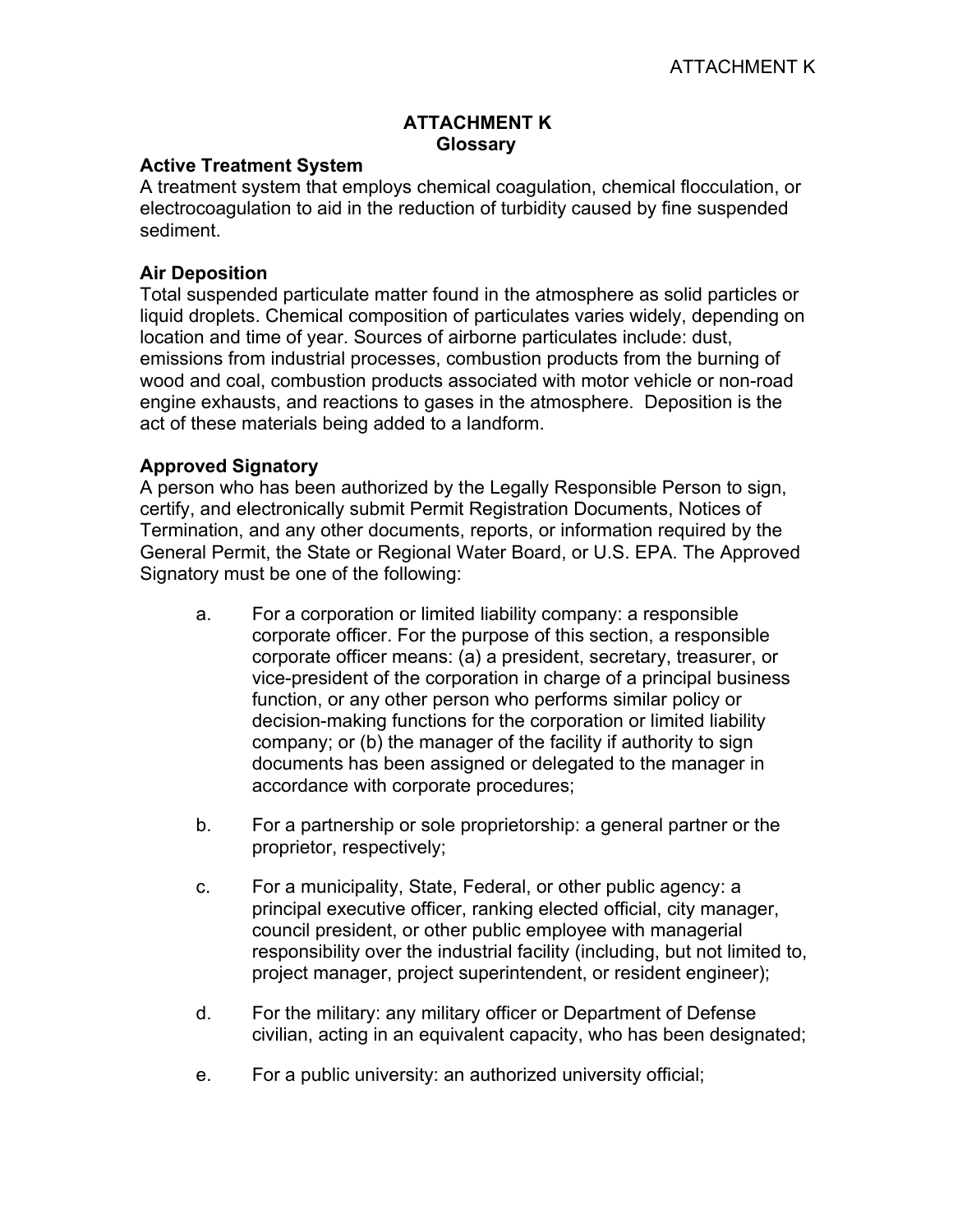# **ATTACHMENT K Glossary**

### **Active Treatment System**

A treatment system that employs chemical coagulation, chemical flocculation, or electrocoagulation to aid in the reduction of turbidity caused by fine suspended sediment.

### **Air Deposition**

Total suspended particulate matter found in the atmosphere as solid particles or liquid droplets. Chemical composition of particulates varies widely, depending on location and time of year. Sources of airborne particulates include: dust, emissions from industrial processes, combustion products from the burning of wood and coal, combustion products associated with motor vehicle or non-road engine exhausts, and reactions to gases in the atmosphere. Deposition is the act of these materials being added to a landform.

#### **Approved Signatory**

A person who has been authorized by the Legally Responsible Person to sign, certify, and electronically submit Permit Registration Documents, Notices of Termination, and any other documents, reports, or information required by the General Permit, the State or Regional Water Board, or U.S. EPA. The Approved Signatory must be one of the following:

- a. For a corporation or limited liability company: a responsible corporate officer. For the purpose of this section, a responsible corporate officer means: (a) a president, secretary, treasurer, or vice-president of the corporation in charge of a principal business function, or any other person who performs similar policy or decision-making functions for the corporation or limited liability company; or (b) the manager of the facility if authority to sign documents has been assigned or delegated to the manager in accordance with corporate procedures;
- b. For a partnership or sole proprietorship: a general partner or the proprietor, respectively;
- c. For a municipality, State, Federal, or other public agency: a principal executive officer, ranking elected official, city manager, council president, or other public employee with managerial responsibility over the industrial facility (including, but not limited to, project manager, project superintendent, or resident engineer);
- d. For the military: any military officer or Department of Defense civilian, acting in an equivalent capacity, who has been designated;
- e. For a public university: an authorized university official;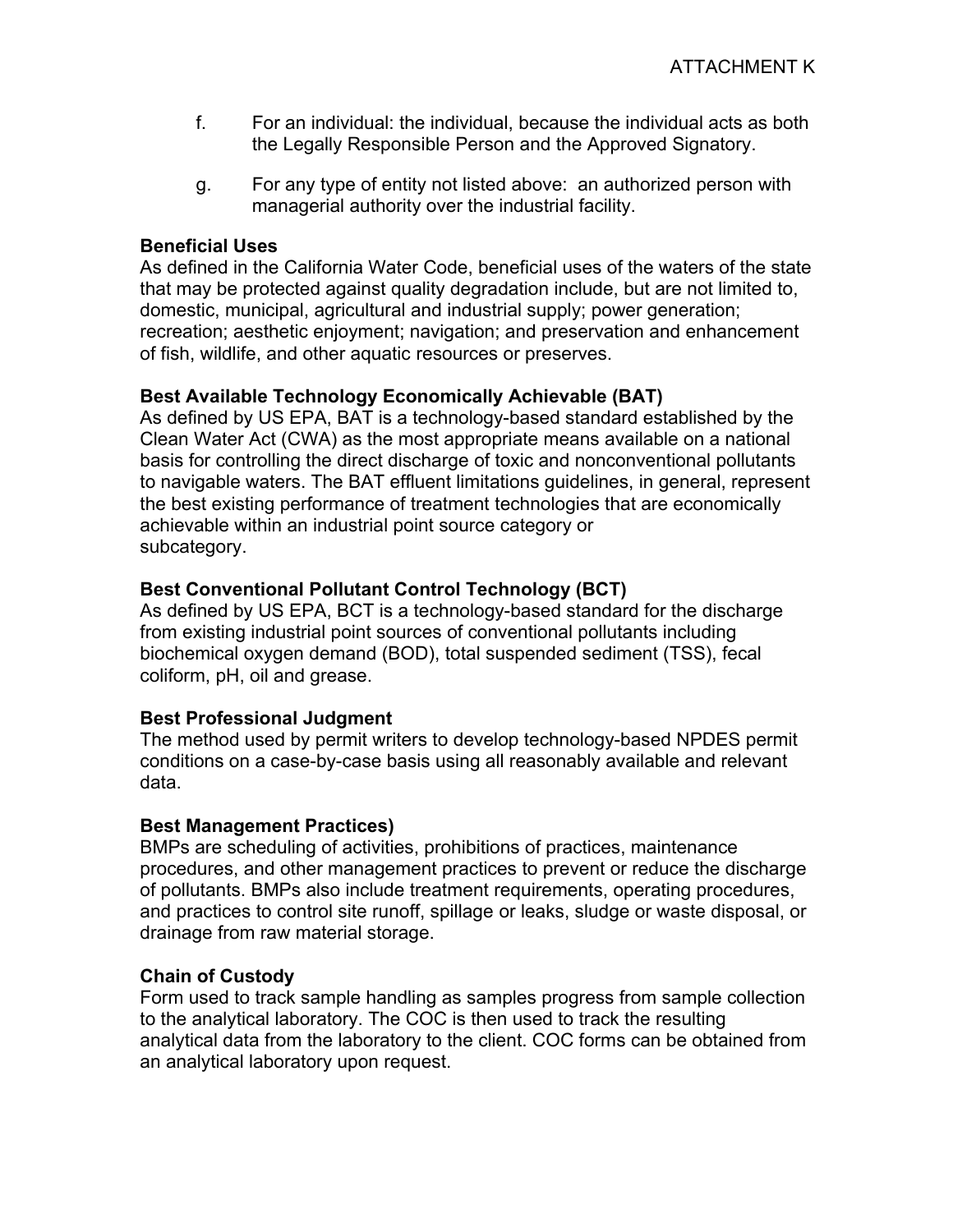- f. For an individual: the individual, because the individual acts as both the Legally Responsible Person and the Approved Signatory.
- g. For any type of entity not listed above: an authorized person with managerial authority over the industrial facility.

# **Beneficial Uses**

As defined in the California Water Code, beneficial uses of the waters of the state that may be protected against quality degradation include, but are not limited to, domestic, municipal, agricultural and industrial supply; power generation; recreation; aesthetic enjoyment; navigation; and preservation and enhancement of fish, wildlife, and other aquatic resources or preserves.

# **Best Available Technology Economically Achievable (BAT)**

As defined by US EPA, BAT is a technology-based standard established by the Clean Water Act (CWA) as the most appropriate means available on a national basis for controlling the direct discharge of toxic and nonconventional pollutants to navigable waters. The BAT effluent limitations guidelines, in general, represent the best existing performance of treatment technologies that are economically achievable within an industrial point source category or subcategory.

# **Best Conventional Pollutant Control Technology (BCT)**

As defined by US EPA, BCT is a technology-based standard for the discharge from existing industrial point sources of conventional pollutants including biochemical oxygen demand (BOD), total suspended sediment (TSS), fecal coliform, pH, oil and grease.

# **Best Professional Judgment**

The method used by permit writers to develop technology-based NPDES permit conditions on a case-by-case basis using all reasonably available and relevant data.

# **Best Management Practices)**

BMPs are scheduling of activities, prohibitions of practices, maintenance procedures, and other management practices to prevent or reduce the discharge of pollutants. BMPs also include treatment requirements, operating procedures, and practices to control site runoff, spillage or leaks, sludge or waste disposal, or drainage from raw material storage.

# **Chain of Custody**

Form used to track sample handling as samples progress from sample collection to the analytical laboratory. The COC is then used to track the resulting analytical data from the laboratory to the client. COC forms can be obtained from an analytical laboratory upon request.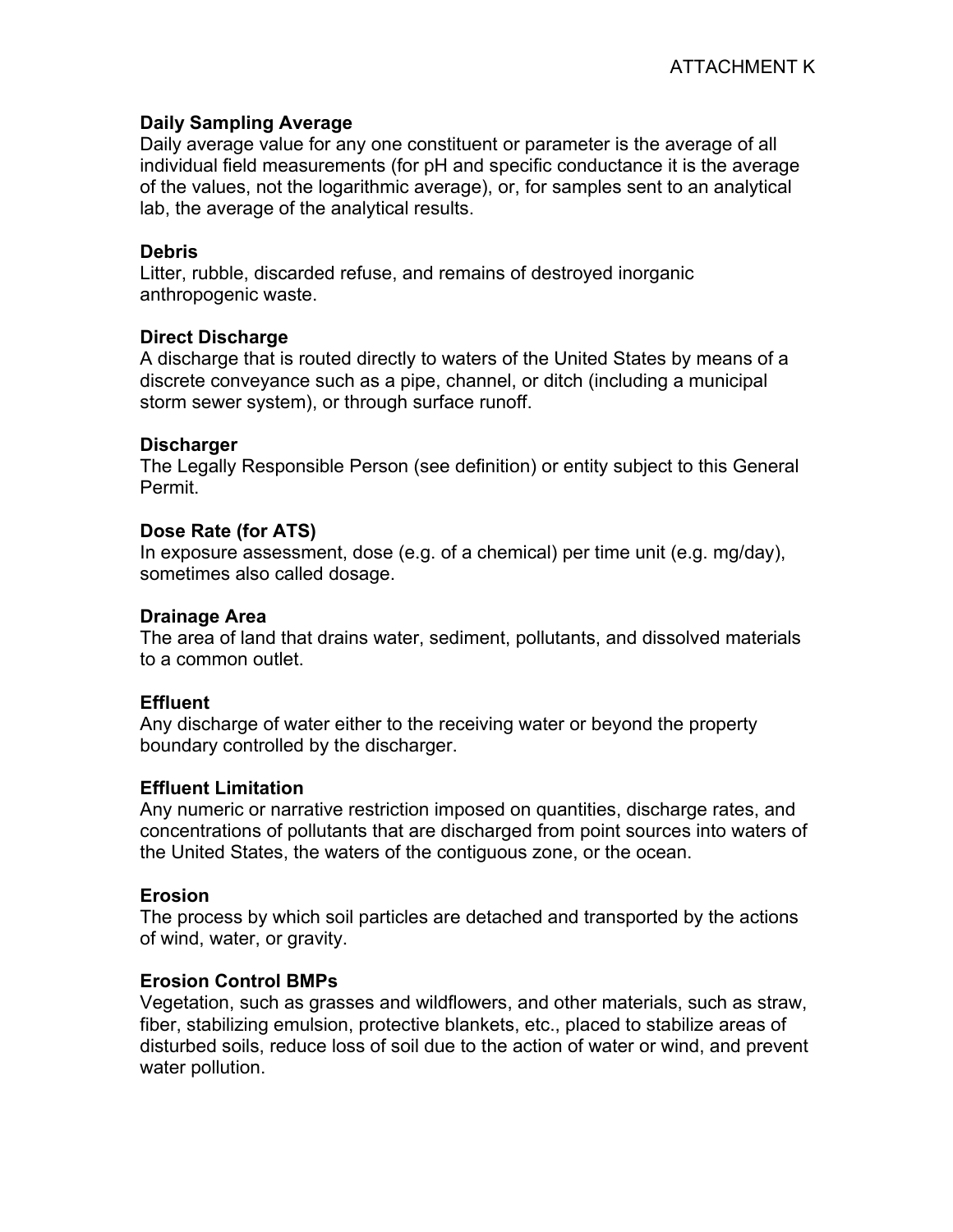# **Daily Sampling Average**

Daily average value for any one constituent or parameter is the average of all individual field measurements (for pH and specific conductance it is the average of the values, not the logarithmic average), or, for samples sent to an analytical lab, the average of the analytical results.

#### **Debris**

Litter, rubble, discarded refuse, and remains of destroyed inorganic anthropogenic waste.

#### **Direct Discharge**

A discharge that is routed directly to waters of the United States by means of a discrete conveyance such as a pipe, channel, or ditch (including a municipal storm sewer system), or through surface runoff.

#### **Discharger**

The Legally Responsible Person (see definition) or entity subject to this General Permit.

#### **Dose Rate (for ATS)**

In exposure assessment, dose (e.g. of a chemical) per time unit (e.g. mg/day), sometimes also called dosage.

#### **Drainage Area**

The area of land that drains water, sediment, pollutants, and dissolved materials to a common outlet.

#### **Effluent**

Any discharge of water either to the receiving water or beyond the property boundary controlled by the discharger.

#### **Effluent Limitation**

Any numeric or narrative restriction imposed on quantities, discharge rates, and concentrations of pollutants that are discharged from point sources into waters of the United States, the waters of the contiguous zone, or the ocean.

# **Erosion**

The process by which soil particles are detached and transported by the actions of wind, water, or gravity.

#### **Erosion Control BMPs**

Vegetation, such as grasses and wildflowers, and other materials, such as straw, fiber, stabilizing emulsion, protective blankets, etc., placed to stabilize areas of disturbed soils, reduce loss of soil due to the action of water or wind, and prevent water pollution.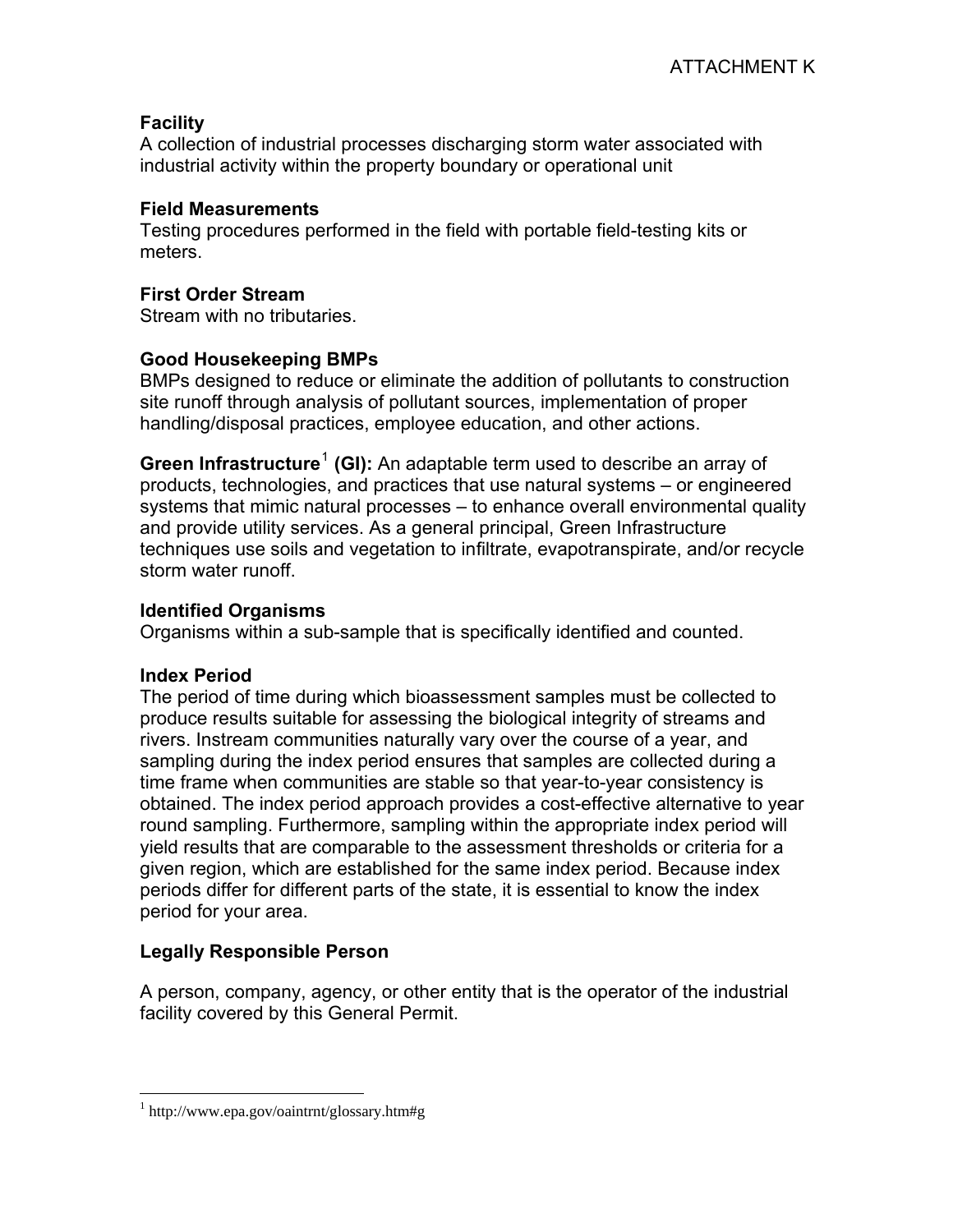# **Facility**

A collection of industrial processes discharging storm water associated with industrial activity within the property boundary or operational unit

# **Field Measurements**

Testing procedures performed in the field with portable field-testing kits or meters.

# **First Order Stream**

Stream with no tributaries.

# **Good Housekeeping BMPs**

BMPs designed to reduce or eliminate the addition of pollutants to construction site runoff through analysis of pollutant sources, implementation of proper handling/disposal practices, employee education, and other actions.

Green Infrastructure<sup>1</sup> (GI): An adaptable term used to describe an array of [products, technologies, and practices that use natural systems – or engineered](#page-3-0)  [systems that mimic natural processes – to enhance overall environmental quality](#page-3-0)  [and provide utility services. As a general principal, Green Infrastructure](#page-3-0)  [techniques use soils and vegetation to infiltrate, evapotranspirate, and/or recycle](#page-3-0)  [storm water runoff.](#page-3-0) 

# **Identified Organisms**

Organisms within a sub-sample that is specifically identified and counted.

# **Index Period**

<u>.</u>

The period of time during which bioassessment samples must be collected to produce results suitable for assessing the biological integrity of streams and rivers. Instream communities naturally vary over the course of a year, and sampling during the index period ensures that samples are collected during a time frame when communities are stable so that year-to-year consistency is obtained. The index period approach provides a cost-effective alternative to year round sampling. Furthermore, sampling within the appropriate index period will yield results that are comparable to the assessment thresholds or criteria for a given region, which are established for the same index period. Because index periods differ for different parts of the state, it is essential to know the index period for your area.

# **Legally Responsible Person**

A person, company, agency, or other entity that is the operator of the industrial facility covered by this General Permit.

<span id="page-3-0"></span><sup>&</sup>lt;sup>1</sup> http://www.epa.gov/oaintrnt/glossary.htm#g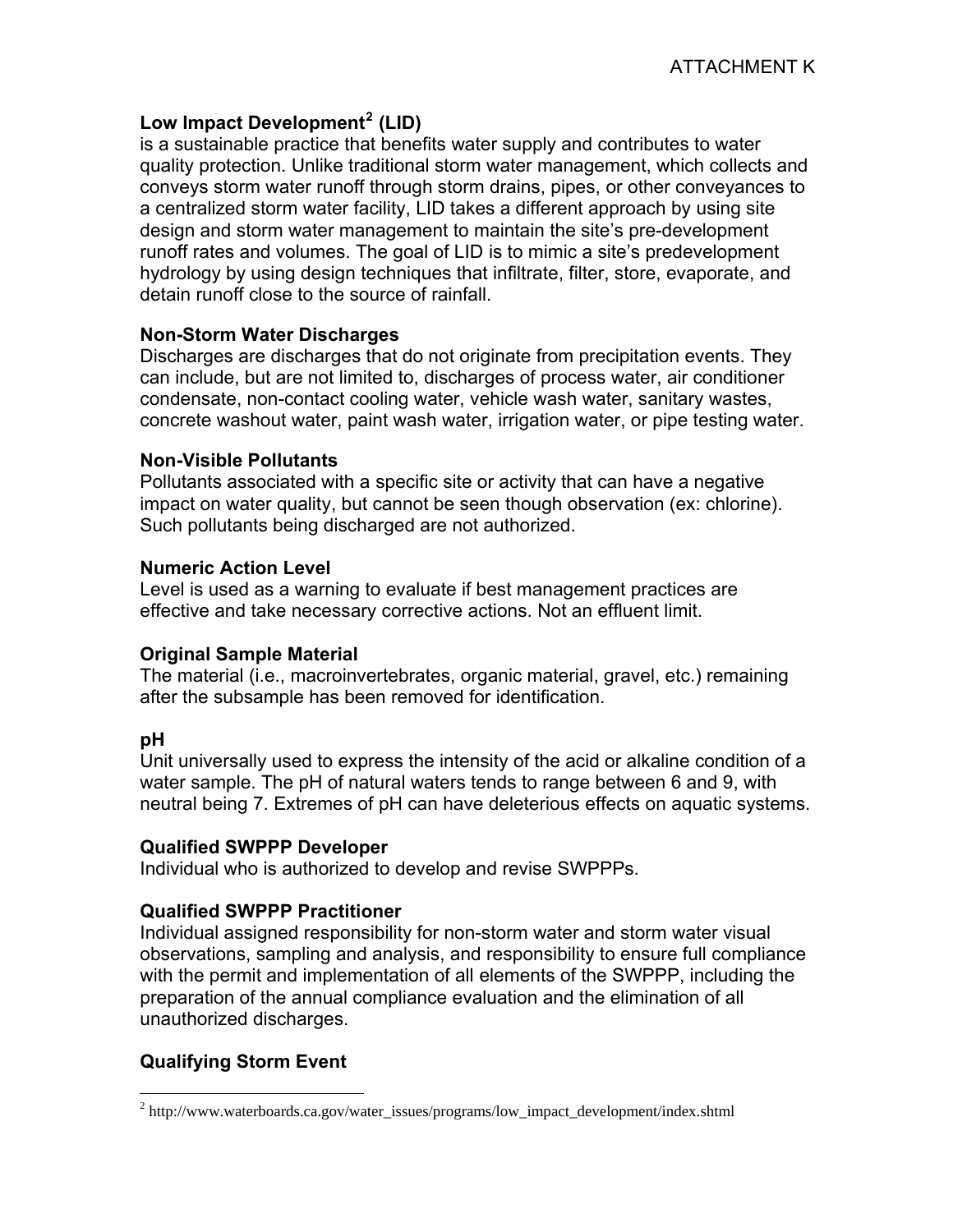# **Low Impact Development[2](#page-4-0) (LID)**

is a sustainable practice that benefits water supply and contributes to water quality protection. Unlike traditional storm water management, which collects and conveys storm water runoff through storm drains, pipes, or other conveyances to a centralized storm water facility, LID takes a different approach by using site design and storm water management to maintain the site's pre-development runoff rates and volumes. The goal of LID is to mimic a site's predevelopment hydrology by using design techniques that infiltrate, filter, store, evaporate, and detain runoff close to the source of rainfall.

# **Non-Storm Water Discharges**

Discharges are discharges that do not originate from precipitation events. They can include, but are not limited to, discharges of process water, air conditioner condensate, non-contact cooling water, vehicle wash water, sanitary wastes, concrete washout water, paint wash water, irrigation water, or pipe testing water.

#### **Non-Visible Pollutants**

Pollutants associated with a specific site or activity that can have a negative impact on water quality, but cannot be seen though observation (ex: chlorine). Such pollutants being discharged are not authorized.

#### **Numeric Action Level**

Level is used as a warning to evaluate if best management practices are effective and take necessary corrective actions. Not an effluent limit.

# **Original Sample Material**

The material (i.e., macroinvertebrates, organic material, gravel, etc.) remaining after the subsample has been removed for identification.

# **pH**

 $\overline{a}$ 

Unit universally used to express the intensity of the acid or alkaline condition of a water sample. The pH of natural waters tends to range between 6 and 9, with neutral being 7. Extremes of pH can have deleterious effects on aquatic systems.

# **Qualified SWPPP Developer**

Individual who is authorized to develop and revise SWPPPs.

# **Qualified SWPPP Practitioner**

Individual assigned responsibility for non-storm water and storm water visual observations, sampling and analysis, and responsibility to ensure full compliance with the permit and implementation of all elements of the SWPPP, including the preparation of the annual compliance evaluation and the elimination of all unauthorized discharges.

# **Qualifying Storm Event**

<span id="page-4-0"></span><sup>&</sup>lt;sup>2</sup> http://www.waterboards.ca.gov/water\_issues/programs/low\_impact\_development/index.shtml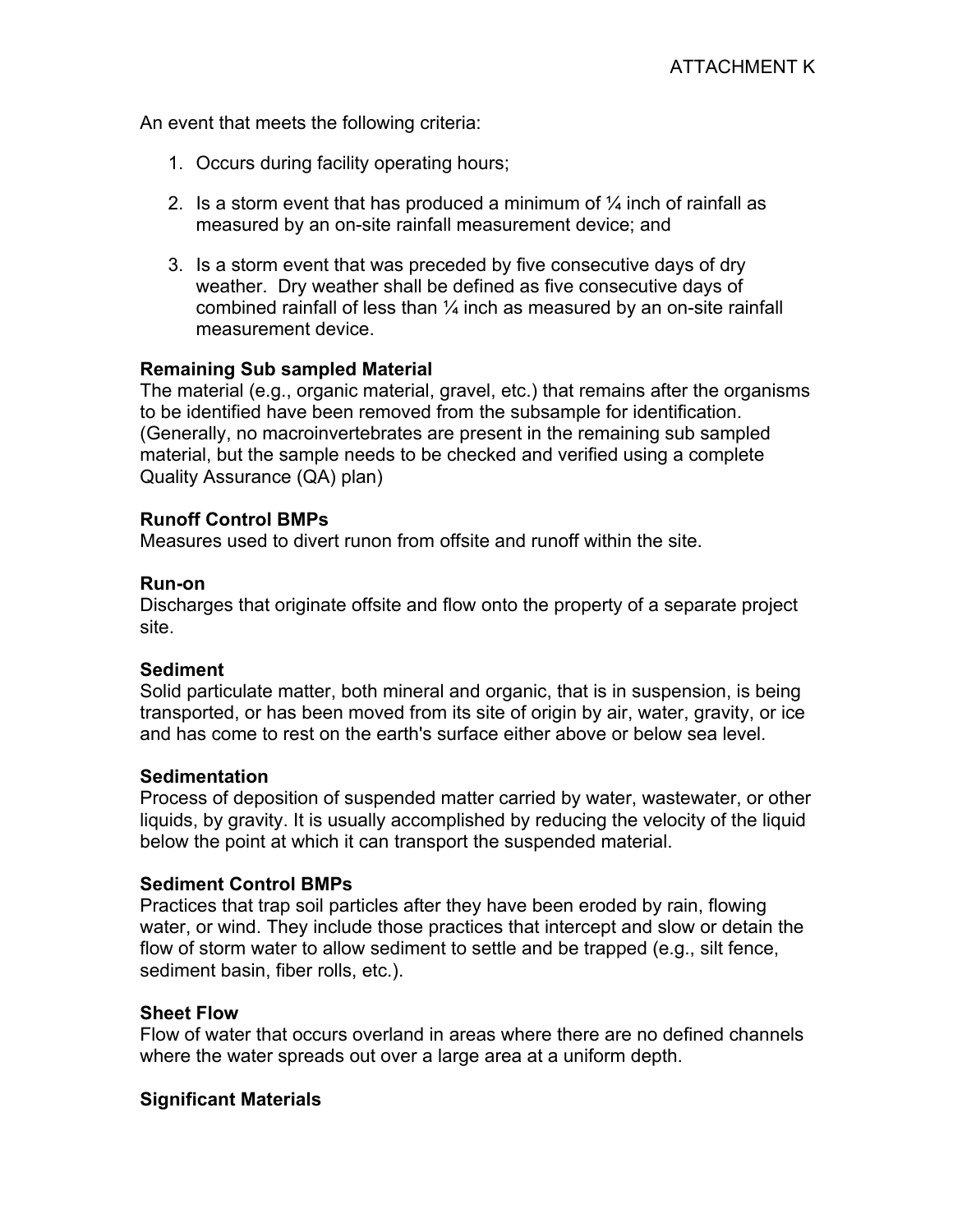An event that meets the following criteria:

- 1. Occurs during facility operating hours;
- 2. Is a storm event that has produced a minimum of  $\frac{1}{4}$  inch of rainfall as measured by an on-site rainfall measurement device; and
- 3. Is a storm event that was preceded by five consecutive days of dry weather. Dry weather shall be defined as five consecutive days of combined rainfall of less than  $\frac{1}{4}$  inch as measured by an on-site rainfall measurement device.

#### **Remaining Sub sampled Material**

The material (e.g., organic material, gravel, etc.) that remains after the organisms to be identified have been removed from the subsample for identification. (Generally, no macroinvertebrates are present in the remaining sub sampled material, but the sample needs to be checked and verified using a complete Quality Assurance (QA) plan)

#### **Runoff Control BMPs**

Measures used to divert runon from offsite and runoff within the site.

#### **Run-on**

Discharges that originate offsite and flow onto the property of a separate project site.

#### **Sediment**

Solid particulate matter, both mineral and organic, that is in suspension, is being transported, or has been moved from its site of origin by air, water, gravity, or ice and has come to rest on the earth's surface either above or below sea level.

#### **Sedimentation**

Process of deposition of suspended matter carried by water, wastewater, or other liquids, by gravity. It is usually accomplished by reducing the velocity of the liquid below the point at which it can transport the suspended material.

#### **Sediment Control BMPs**

Practices that trap soil particles after they have been eroded by rain, flowing water, or wind. They include those practices that intercept and slow or detain the flow of storm water to allow sediment to settle and be trapped (e.g., silt fence, sediment basin, fiber rolls, etc.).

#### **Sheet Flow**

Flow of water that occurs overland in areas where there are no defined channels where the water spreads out over a large area at a uniform depth.

# **Significant Materials**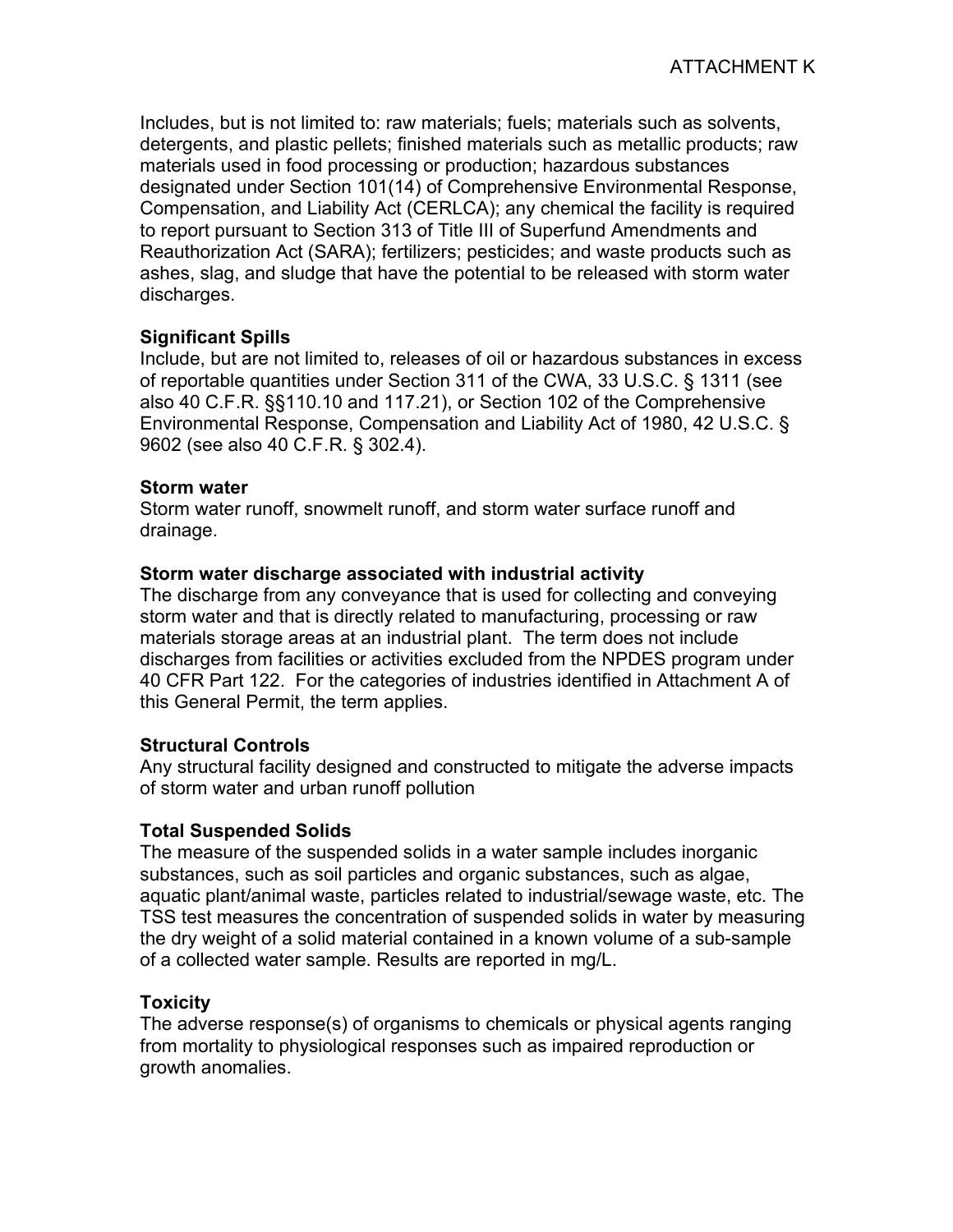Includes, but is not limited to: raw materials; fuels; materials such as solvents, detergents, and plastic pellets; finished materials such as metallic products; raw materials used in food processing or production; hazardous substances designated under Section 101(14) of Comprehensive Environmental Response, Compensation, and Liability Act (CERLCA); any chemical the facility is required to report pursuant to Section 313 of Title III of Superfund Amendments and Reauthorization Act (SARA); fertilizers; pesticides; and waste products such as ashes, slag, and sludge that have the potential to be released with storm water discharges.

# **Significant Spills**

Include, but are not limited to, releases of oil or hazardous substances in excess of reportable quantities under Section 311 of the CWA, 33 U.S.C. § 1311 (see also 40 C.F.R. §§110.10 and 117.21), or Section 102 of the Comprehensive Environmental Response, Compensation and Liability Act of 1980, 42 U.S.C. § 9602 (see also 40 C.F.R. § 302.4).

# **Storm water**

Storm water runoff, snowmelt runoff, and storm water surface runoff and drainage.

# **Storm water discharge associated with industrial activity**

The discharge from any conveyance that is used for collecting and conveying storm water and that is directly related to manufacturing, processing or raw materials storage areas at an industrial plant. The term does not include discharges from facilities or activities excluded from the NPDES program under 40 CFR Part 122. For the categories of industries identified in Attachment A of this General Permit, the term applies.

# **Structural Controls**

Any structural facility designed and constructed to mitigate the adverse impacts of storm water and urban runoff pollution

# **Total Suspended Solids**

The measure of the suspended solids in a water sample includes inorganic substances, such as soil particles and organic substances, such as algae, aquatic plant/animal waste, particles related to industrial/sewage waste, etc. The TSS test measures the concentration of suspended solids in water by measuring the dry weight of a solid material contained in a known volume of a sub-sample of a collected water sample. Results are reported in mg/L.

# **Toxicity**

The adverse response(s) of organisms to chemicals or physical agents ranging from mortality to physiological responses such as impaired reproduction or growth anomalies.